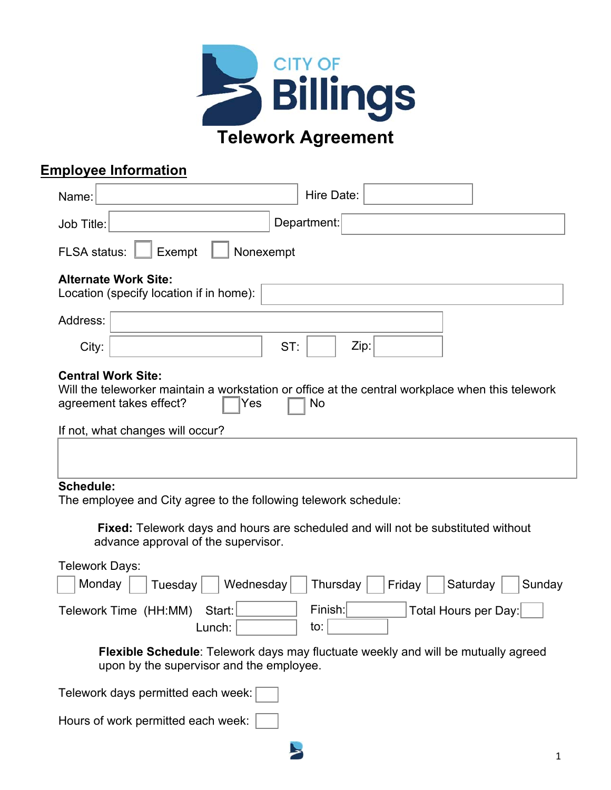

## **Employee Information**

| Hire Date:<br>Name:                                                                                                                                                                                       |  |  |  |  |
|-----------------------------------------------------------------------------------------------------------------------------------------------------------------------------------------------------------|--|--|--|--|
| Department:<br>Job Title:                                                                                                                                                                                 |  |  |  |  |
| <b>FLSA</b> status:<br>Exempt<br>Nonexempt                                                                                                                                                                |  |  |  |  |
| <b>Alternate Work Site:</b><br>Location (specify location if in home):                                                                                                                                    |  |  |  |  |
| Address:                                                                                                                                                                                                  |  |  |  |  |
| ST:<br>Zip:<br>City:                                                                                                                                                                                      |  |  |  |  |
| <b>Central Work Site:</b><br>Will the teleworker maintain a workstation or office at the central workplace when this telework<br>agreement takes effect?<br>Yes<br>No<br>If not, what changes will occur? |  |  |  |  |
| <b>Schedule:</b><br>The employee and City agree to the following telework schedule:                                                                                                                       |  |  |  |  |
| Fixed: Telework days and hours are scheduled and will not be substituted without<br>advance approval of the supervisor.                                                                                   |  |  |  |  |
| <b>Telework Days:</b><br>Wednesday<br>Monday<br>Thursday<br>Saturday<br>Tuesday<br><b>Friday</b><br>Sunday                                                                                                |  |  |  |  |
| Finish:<br>Total Hours per Day:<br>Telework Time (HH:MM)<br>Start:<br>to: [<br>Lunch:                                                                                                                     |  |  |  |  |
| <b>Flexible Schedule:</b> Telework days may fluctuate weekly and will be mutually agreed<br>upon by the supervisor and the employee.                                                                      |  |  |  |  |
| Telework days permitted each week:                                                                                                                                                                        |  |  |  |  |
| Hours of work permitted each week:                                                                                                                                                                        |  |  |  |  |

 $\blacktriangleright$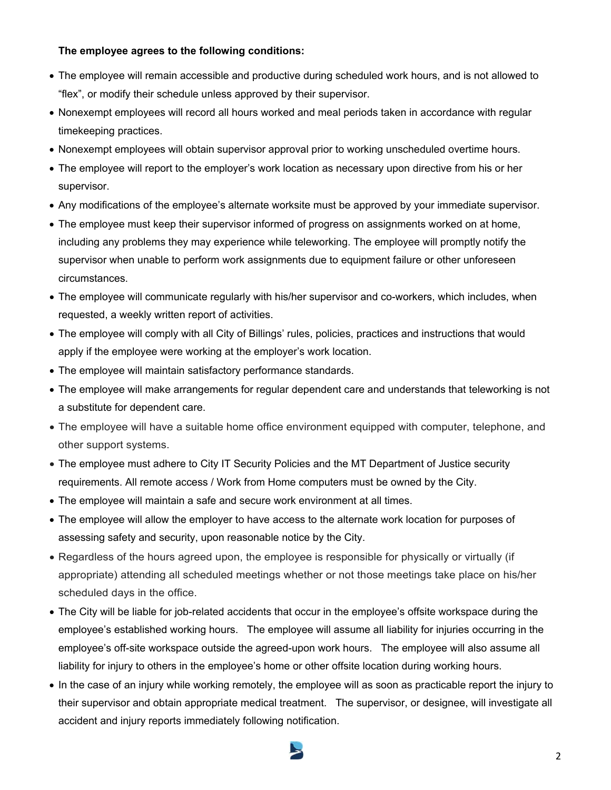#### **The employee agrees to the following conditions:**

- The employee will remain accessible and productive during scheduled work hours, and is not allowed to "flex", or modify their schedule unless approved by their supervisor.
- Nonexempt employees will record all hours worked and meal periods taken in accordance with regular timekeeping practices.
- Nonexempt employees will obtain supervisor approval prior to working unscheduled overtime hours.
- The employee will report to the employer's work location as necessary upon directive from his or her supervisor.
- Any modifications of the employee's alternate worksite must be approved by your immediate supervisor.
- The employee must keep their supervisor informed of progress on assignments worked on at home, including any problems they may experience while teleworking. The employee will promptly notify the supervisor when unable to perform work assignments due to equipment failure or other unforeseen circumstances.
- The employee will communicate regularly with his/her supervisor and co-workers, which includes, when requested, a weekly written report of activities.
- The employee will comply with all City of Billings' rules, policies, practices and instructions that would apply if the employee were working at the employer's work location.
- The employee will maintain satisfactory performance standards.
- The employee will make arrangements for regular dependent care and understands that teleworking is not a substitute for dependent care.
- The employee will have a suitable home office environment equipped with computer, telephone, and other support systems.
- The employee must adhere to City IT Security Policies and the MT Department of Justice security requirements. All remote access / Work from Home computers must be owned by the City.
- The employee will maintain a safe and secure work environment at all times.
- The employee will allow the employer to have access to the alternate work location for purposes of assessing safety and security, upon reasonable notice by the City.
- Regardless of the hours agreed upon, the employee is responsible for physically or virtually (if appropriate) attending all scheduled meetings whether or not those meetings take place on his/her scheduled days in the office.
- The City will be liable for job-related accidents that occur in the employee's offsite workspace during the employee's established working hours. The employee will assume all liability for injuries occurring in the employee's off-site workspace outside the agreed-upon work hours. The employee will also assume all liability for injury to others in the employee's home or other offsite location during working hours.
- In the case of an injury while working remotely, the employee will as soon as practicable report the injury to their supervisor and obtain appropriate medical treatment. The supervisor, or designee, will investigate all accident and injury reports immediately following notification.

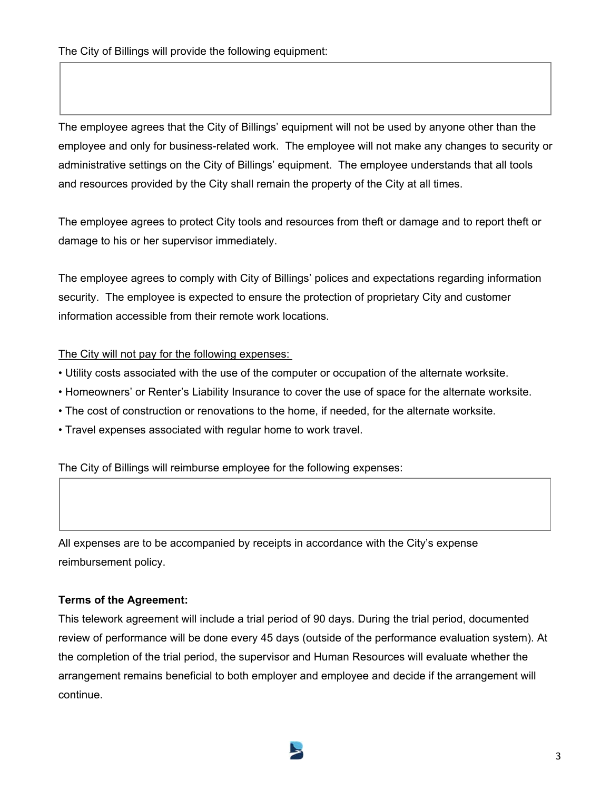The employee agrees that the City of Billings' equipment will not be used by anyone other than the employee and only for business-related work. The employee will not make any changes to security or administrative settings on the City of Billings' equipment. The employee understands that all tools and resources provided by the City shall remain the property of the City at all times.

The employee agrees to protect City tools and resources from theft or damage and to report theft or damage to his or her supervisor immediately.

The employee agrees to comply with City of Billings' polices and expectations regarding information security. The employee is expected to ensure the protection of proprietary City and customer information accessible from their remote work locations.

#### The City will not pay for the following expenses:

- Utility costs associated with the use of the computer or occupation of the alternate worksite.
- Homeowners' or Renter's Liability Insurance to cover the use of space for the alternate worksite.
- The cost of construction or renovations to the home, if needed, for the alternate worksite.
- Travel expenses associated with regular home to work travel.

The City of Billings will reimburse employee for the following expenses:

All expenses are to be accompanied by receipts in accordance with the City's expense reimbursement policy.

### **Terms of the Agreement:**

This telework agreement will include a trial period of 90 days. During the trial period, documented review of performance will be done every 45 days (outside of the performance evaluation system). At the completion of the trial period, the supervisor and Human Resources will evaluate whether the arrangement remains beneficial to both employer and employee and decide if the arrangement will continue.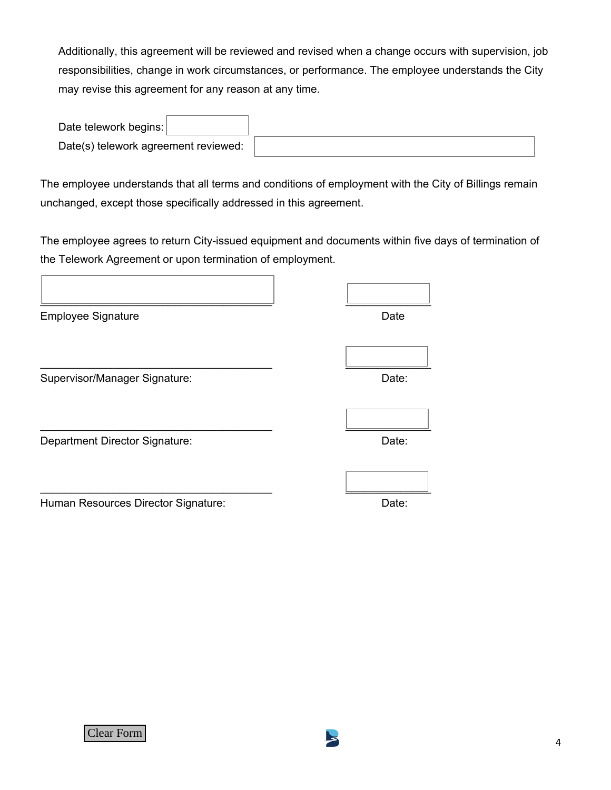Additionally, this agreement will be reviewed and revised when a change occurs with supervision, job responsibilities, change in work circumstances, or performance. The employee understands the City may revise this agreement for any reason at any time.

| Date telework begins:                |  |
|--------------------------------------|--|
| Date(s) telework agreement reviewed: |  |

The employee understands that all terms and conditions of employment with the City of Billings remain unchanged, except those specifically addressed in this agreement.

The employee agrees to return City-issued equipment and documents within five days of termination of the Telework Agreement or upon termination of employment.

| <b>Employee Signature</b>             | Date  |
|---------------------------------------|-------|
|                                       |       |
| Supervisor/Manager Signature:         | Date: |
|                                       |       |
| <b>Department Director Signature:</b> | Date: |
|                                       |       |
| Human Resources Director Signature:   | Date: |

Clear Form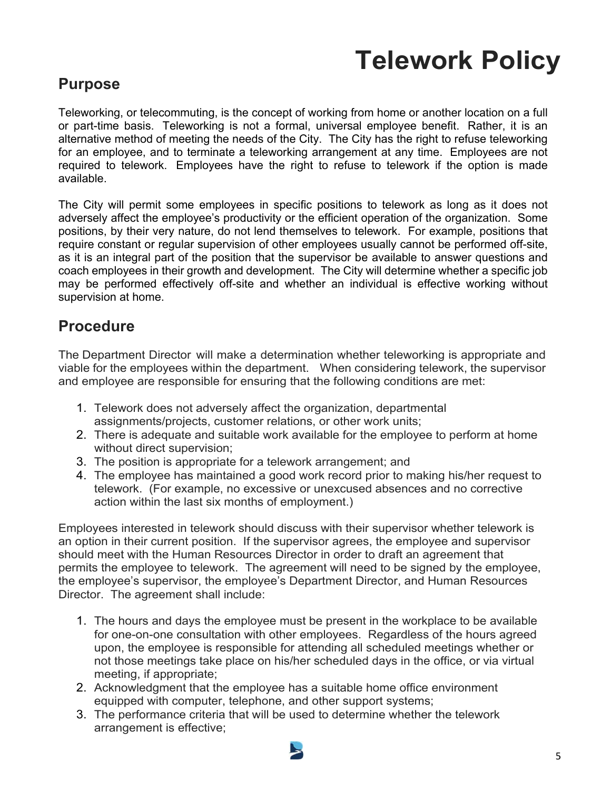# **Telework Policy**

## **Purpose**

Teleworking, or telecommuting, is the concept of working from home or another location on a full or part-time basis. Teleworking is not a formal, universal employee benefit. Rather, it is an alternative method of meeting the needs of the City. The City has the right to refuse teleworking for an employee, and to terminate a teleworking arrangement at any time. Employees are not required to telework. Employees have the right to refuse to telework if the option is made available.

The City will permit some employees in specific positions to telework as long as it does not adversely affect the employee's productivity or the efficient operation of the organization. Some positions, by their very nature, do not lend themselves to telework. For example, positions that require constant or regular supervision of other employees usually cannot be performed off-site, as it is an integral part of the position that the supervisor be available to answer questions and coach employees in their growth and development. The City will determine whether a specific job may be performed effectively off-site and whether an individual is effective working without supervision at home.

## **Procedure**

The Department Director will make a determination whether teleworking is appropriate and viable for the employees within the department. When considering telework, the supervisor and employee are responsible for ensuring that the following conditions are met:

- 1. Telework does not adversely affect the organization, departmental assignments/projects, customer relations, or other work units;
- 2. There is adequate and suitable work available for the employee to perform at home without direct supervision;
- 3. The position is appropriate for a telework arrangement; and
- 4. The employee has maintained a good work record prior to making his/her request to telework. (For example, no excessive or unexcused absences and no corrective action within the last six months of employment.)

Employees interested in telework should discuss with their supervisor whether telework is an option in their current position. If the supervisor agrees, the employee and supervisor should meet with the Human Resources Director in order to draft an agreement that permits the employee to telework. The agreement will need to be signed by the employee, the employee's supervisor, the employee's Department Director, and Human Resources Director. The agreement shall include:

- 1. The hours and days the employee must be present in the workplace to be available for one-on-one consultation with other employees. Regardless of the hours agreed upon, the employee is responsible for attending all scheduled meetings whether or not those meetings take place on his/her scheduled days in the office, or via virtual meeting, if appropriate;
- 2. Acknowledgment that the employee has a suitable home office environment equipped with computer, telephone, and other support systems;
- 3. The performance criteria that will be used to determine whether the telework arrangement is effective;